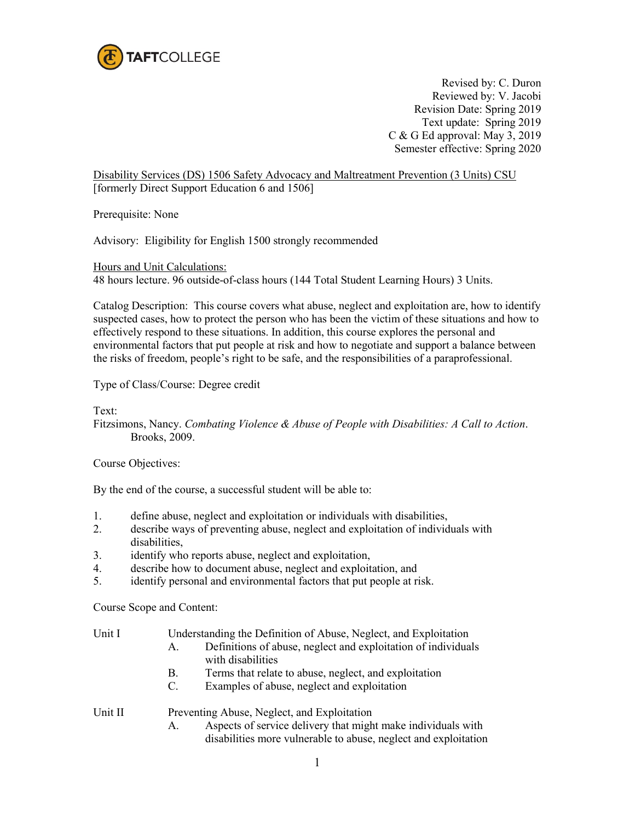

Revised by: C. Duron Reviewed by: V. Jacobi Revision Date: Spring 2019 Text update: Spring 2019 C & G Ed approval: May 3, 2019 Semester effective: Spring 2020

Disability Services (DS) 1506 Safety Advocacy and Maltreatment Prevention (3 Units) CSU [formerly Direct Support Education 6 and 1506]

Prerequisite: None

Advisory: Eligibility for English 1500 strongly recommended

Hours and Unit Calculations:

48 hours lecture. 96 outside-of-class hours (144 Total Student Learning Hours) 3 Units.

Catalog Description: This course covers what abuse, neglect and exploitation are, how to identify suspected cases, how to protect the person who has been the victim of these situations and how to effectively respond to these situations. In addition, this course explores the personal and environmental factors that put people at risk and how to negotiate and support a balance between the risks of freedom, people's right to be safe, and the responsibilities of a paraprofessional.

Type of Class/Course: Degree credit

Text:

Fitzsimons, Nancy. *Combating Violence & Abuse of People with Disabilities: A Call to Action*. Brooks, 2009.

Course Objectives:

By the end of the course, a successful student will be able to:

- 1. define abuse, neglect and exploitation or individuals with disabilities,
- 2. describe ways of preventing abuse, neglect and exploitation of individuals with disabilities,
- 3. identify who reports abuse, neglect and exploitation,
- 4. describe how to document abuse, neglect and exploitation, and
- 5. identify personal and environmental factors that put people at risk.

Course Scope and Content:

| Unit I  | Understanding the Definition of Abuse, Neglect, and Exploitation                                                 |  |  |  |
|---------|------------------------------------------------------------------------------------------------------------------|--|--|--|
|         | Definitions of abuse, neglect and exploitation of individuals<br>$A_{-}$<br>with disabilities                    |  |  |  |
|         | Terms that relate to abuse, neglect, and exploitation<br>B.<br>Examples of abuse, neglect and exploitation<br>C. |  |  |  |
| Unit II | Preventing Abuse, Neglect, and Exploitation                                                                      |  |  |  |

A. Aspects of service delivery that might make individuals with disabilities more vulnerable to abuse, neglect and exploitation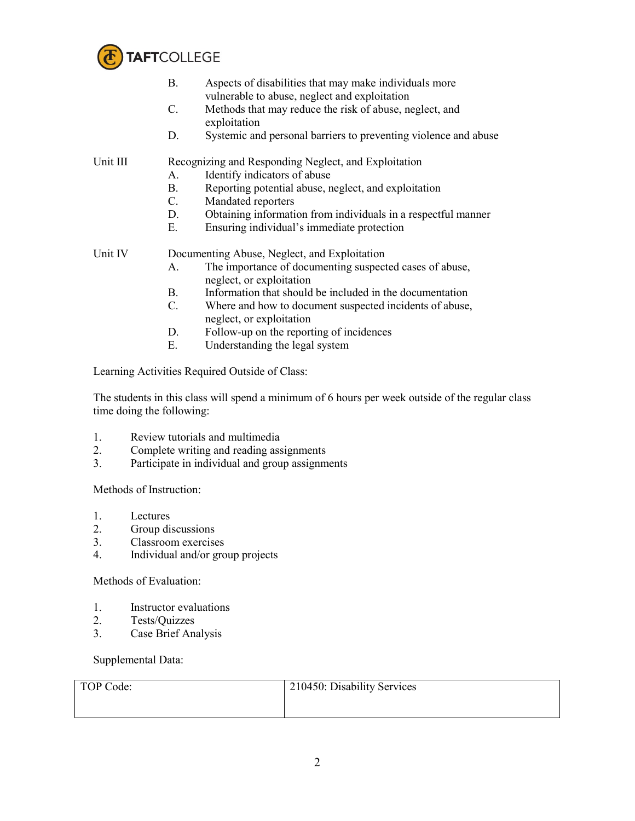

|          | Β.                                                   | Aspects of disabilities that may make individuals more<br>vulnerable to abuse, neglect and exploitation |  |  |
|----------|------------------------------------------------------|---------------------------------------------------------------------------------------------------------|--|--|
|          | C.                                                   | Methods that may reduce the risk of abuse, neglect, and<br>exploitation                                 |  |  |
|          | D.                                                   | Systemic and personal barriers to preventing violence and abuse                                         |  |  |
| Unit III | Recognizing and Responding Neglect, and Exploitation |                                                                                                         |  |  |
|          | А.                                                   | Identify indicators of abuse                                                                            |  |  |
|          | В.                                                   | Reporting potential abuse, neglect, and exploitation                                                    |  |  |
|          | $\mathbf{C}$ .                                       | Mandated reporters                                                                                      |  |  |
|          | D.                                                   | Obtaining information from individuals in a respectful manner                                           |  |  |
|          | Е.                                                   | Ensuring individual's immediate protection                                                              |  |  |
| Unit IV  | Documenting Abuse, Neglect, and Exploitation         |                                                                                                         |  |  |
|          | А.                                                   | The importance of documenting suspected cases of abuse,<br>neglect, or exploitation                     |  |  |
|          | B.                                                   | Information that should be included in the documentation                                                |  |  |
|          | C.                                                   | Where and how to document suspected incidents of abuse,<br>neglect, or exploitation                     |  |  |

- D. Follow-up on the reporting of incidences
- E. Understanding the legal system

Learning Activities Required Outside of Class:

The students in this class will spend a minimum of 6 hours per week outside of the regular class time doing the following:

- 1. Review tutorials and multimedia
- 2. Complete writing and reading assignments
- 3. Participate in individual and group assignments

Methods of Instruction:

- 1. Lectures
- 2. Group discussions<br>3. Classroom exercise
- 3. Classroom exercises
- 4. Individual and/or group projects

Methods of Evaluation:

- 1. Instructor evaluations
- 2. Tests/Quizzes<br>3. Case Brief Ana
- Case Brief Analysis

Supplemental Data:

| TOP Code: | 210450: Disability Services |
|-----------|-----------------------------|
|           |                             |